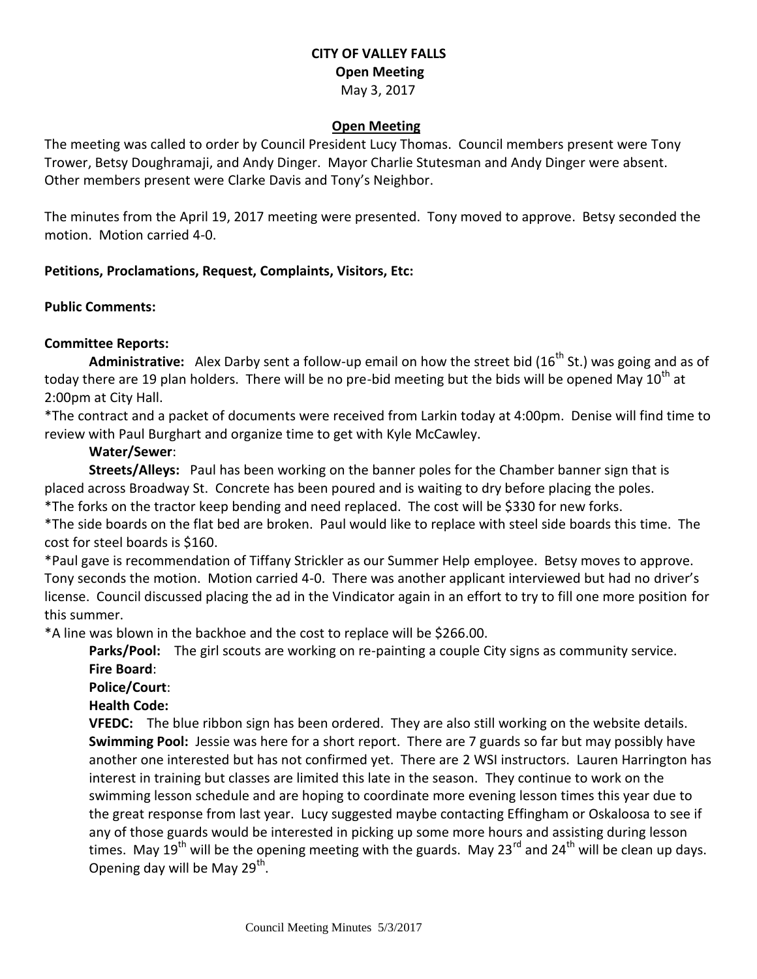## **CITY OF VALLEY FALLS Open Meeting** May 3, 2017

#### **Open Meeting**

The meeting was called to order by Council President Lucy Thomas. Council members present were Tony Trower, Betsy Doughramaji, and Andy Dinger. Mayor Charlie Stutesman and Andy Dinger were absent. Other members present were Clarke Davis and Tony's Neighbor.

The minutes from the April 19, 2017 meeting were presented. Tony moved to approve. Betsy seconded the motion. Motion carried 4-0.

### **Petitions, Proclamations, Request, Complaints, Visitors, Etc:**

#### **Public Comments:**

### **Committee Reports:**

Administrative: Alex Darby sent a follow-up email on how the street bid (16<sup>th</sup> St.) was going and as of today there are 19 plan holders. There will be no pre-bid meeting but the bids will be opened May 10<sup>th</sup> at 2:00pm at City Hall.

\*The contract and a packet of documents were received from Larkin today at 4:00pm. Denise will find time to review with Paul Burghart and organize time to get with Kyle McCawley.

### **Water/Sewer**:

**Streets/Alleys:** Paul has been working on the banner poles for the Chamber banner sign that is placed across Broadway St. Concrete has been poured and is waiting to dry before placing the poles. \*The forks on the tractor keep bending and need replaced. The cost will be \$330 for new forks.

\*The side boards on the flat bed are broken. Paul would like to replace with steel side boards this time. The cost for steel boards is \$160.

\*Paul gave is recommendation of Tiffany Strickler as our Summer Help employee. Betsy moves to approve. Tony seconds the motion. Motion carried 4-0. There was another applicant interviewed but had no driver's license. Council discussed placing the ad in the Vindicator again in an effort to try to fill one more position for this summer.

\*A line was blown in the backhoe and the cost to replace will be \$266.00.

**Parks/Pool:** The girl scouts are working on re-painting a couple City signs as community service. **Fire Board**:

**Police/Court**:

### **Health Code:**

**VFEDC:** The blue ribbon sign has been ordered. They are also still working on the website details. **Swimming Pool:** Jessie was here for a short report. There are 7 guards so far but may possibly have another one interested but has not confirmed yet. There are 2 WSI instructors. Lauren Harrington has interest in training but classes are limited this late in the season. They continue to work on the swimming lesson schedule and are hoping to coordinate more evening lesson times this year due to the great response from last year. Lucy suggested maybe contacting Effingham or Oskaloosa to see if any of those guards would be interested in picking up some more hours and assisting during lesson times. May 19<sup>th</sup> will be the opening meeting with the guards. May 23<sup>rd</sup> and 24<sup>th</sup> will be clean up days. Opening day will be May 29<sup>th</sup>.